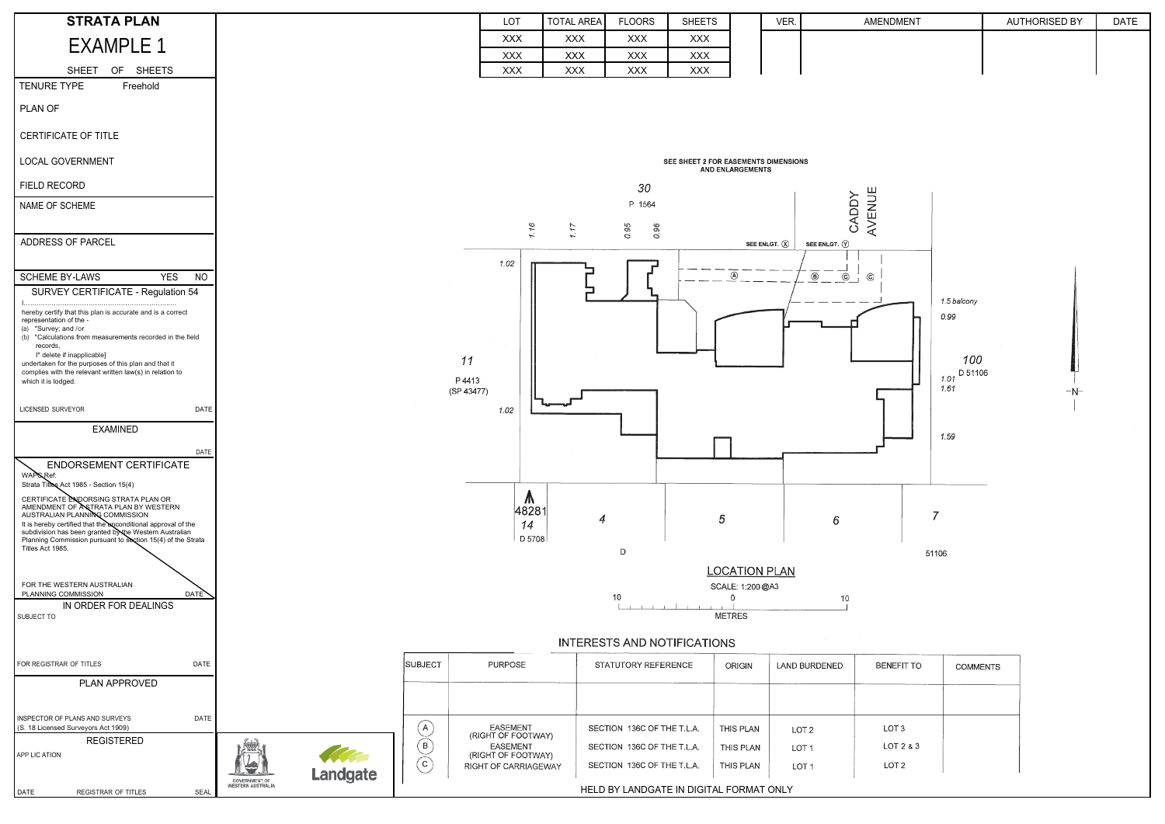| <b>STRATA PLAN</b>                                                                                                                                                                                                                                                                                                           |                                                                               |                                                     | LOT                                                                                 | <b>TOTAL AREA</b>        | <b>FLOORS</b>                                           | <b>SHEETS</b>            |                        | VER                                  | AMENDMENT                     |                        | <b>AUTHORISED BY</b> | <b>DATE</b> |  |
|------------------------------------------------------------------------------------------------------------------------------------------------------------------------------------------------------------------------------------------------------------------------------------------------------------------------------|-------------------------------------------------------------------------------|-----------------------------------------------------|-------------------------------------------------------------------------------------|--------------------------|---------------------------------------------------------|--------------------------|------------------------|--------------------------------------|-------------------------------|------------------------|----------------------|-------------|--|
| <b>EXAMPLE 1</b>                                                                                                                                                                                                                                                                                                             |                                                                               |                                                     | <b>XXX</b>                                                                          | <b>XXX</b>               | <b>XXX</b>                                              | <b>XXX</b>               |                        |                                      |                               |                        |                      |             |  |
| <b>SHEETS</b><br><b>SHEET</b><br>OF                                                                                                                                                                                                                                                                                          |                                                                               |                                                     | <b>XXX</b><br><b>XXX</b>                                                            | <b>XXX</b><br><b>XXX</b> | <b>XXX</b><br><b>XXX</b>                                | <b>XXX</b><br><b>XXX</b> |                        |                                      |                               |                        |                      |             |  |
| TENURE TYPE<br>Freehold                                                                                                                                                                                                                                                                                                      |                                                                               |                                                     |                                                                                     |                          |                                                         |                          |                        |                                      |                               |                        |                      |             |  |
| PLAN OF                                                                                                                                                                                                                                                                                                                      |                                                                               |                                                     |                                                                                     |                          |                                                         |                          |                        |                                      |                               |                        |                      |             |  |
| CERTIFICATE OF TITLE                                                                                                                                                                                                                                                                                                         |                                                                               |                                                     |                                                                                     |                          |                                                         |                          |                        |                                      |                               |                        |                      |             |  |
| <b>LOCAL GOVERNMENT</b>                                                                                                                                                                                                                                                                                                      | SEE SHEET 2 FOR EASEMENTS DIMENSIONS<br><b>AND ENLARGEMENTS</b>               |                                                     |                                                                                     |                          |                                                         |                          |                        |                                      |                               |                        |                      |             |  |
| FIELD RECORD                                                                                                                                                                                                                                                                                                                 | 30                                                                            |                                                     |                                                                                     |                          |                                                         |                          |                        |                                      |                               |                        |                      |             |  |
| NAME OF SCHEME                                                                                                                                                                                                                                                                                                               |                                                                               |                                                     |                                                                                     |                          | P 1564                                                  |                          |                        |                                      | AVENUE<br>CADDY               |                        |                      |             |  |
| ADDRESS OF PARCEL                                                                                                                                                                                                                                                                                                            |                                                                               |                                                     | 1.16                                                                                | 1.17                     | 0.95<br>0.96                                            |                          |                        | SEE ENLGT. $(\hat{X})$               | SEE ENLGT. $\circledcirc$     |                        |                      |             |  |
| <b>SCHEME BY-LAWS</b><br><b>YES</b><br><b>NO</b>                                                                                                                                                                                                                                                                             |                                                                               |                                                     | 1.02                                                                                |                          |                                                         |                          | $\circledA$            | $\overline{\circledcirc}$            | $\vec{c}$<br>$\odot$          |                        |                      |             |  |
| SURVEY CERTIFICATE - Regulation 54                                                                                                                                                                                                                                                                                           |                                                                               |                                                     |                                                                                     |                          |                                                         |                          |                        |                                      |                               | 1.5 balcony            |                      |             |  |
| hereby certify that this plan is accurate and is a correct<br>representation of the -<br>(a) *Survey; and /or<br>(b) *Calculations from measurements recorded in the field<br>records,<br>I* delete if inapplicable]<br>undertaken for the purposes of this plan and that it                                                 |                                                                               |                                                     | 11                                                                                  |                          |                                                         |                          |                        |                                      |                               | 0.99<br>100            |                      |             |  |
| complies with the relevant written law(s) in relation to<br>which it is lodged.                                                                                                                                                                                                                                              |                                                                               |                                                     | P 4413                                                                              |                          |                                                         |                          |                        |                                      |                               | $1.01$ D 51106<br>1.61 |                      |             |  |
| DATE<br>LICENSED SURVEYOR                                                                                                                                                                                                                                                                                                    |                                                                               |                                                     | (SP 43477)<br>1.02                                                                  |                          |                                                         |                          |                        |                                      |                               |                        | $-N$ -               |             |  |
| <b>EXAMINED</b>                                                                                                                                                                                                                                                                                                              |                                                                               |                                                     |                                                                                     |                          |                                                         |                          |                        |                                      |                               | 1.59                   |                      |             |  |
| DATE                                                                                                                                                                                                                                                                                                                         |                                                                               |                                                     |                                                                                     |                          |                                                         |                          |                        |                                      |                               |                        |                      |             |  |
| ENDORSEMENT CERTIFICATE<br>WAPS Ref:<br>Strata Titles Act 1985 - Section 15(4)                                                                                                                                                                                                                                               |                                                                               |                                                     |                                                                                     |                          |                                                         |                          |                        |                                      |                               |                        |                      |             |  |
| CERTIFICATE ENDORSING STRATA PLAN OR<br>AMENDMENT OF ASTRATA PLAN BY WESTERN<br>AUSTRALIAN PLANNING COMMISSION<br>It is hereby certified that the enconditional approval of the<br>subdivision has been granted by the Western Australian<br>Planning Commission pursuant to Section 15(4) of the Strata<br>Titles Act 1985. |                                                                               |                                                     | $\sqrt{n}$<br>48281<br>14<br>D 5708                                                 | 4                        |                                                         |                          | 5                      |                                      | $\overline{7}$<br>6           |                        |                      |             |  |
| FOR THE WESTERN AUSTRALIAN<br>PLANNING COMMISSION<br>DATE<br>IN ORDER FOR DEALINGS                                                                                                                                                                                                                                           | D<br>51106<br><b>LOCATION PLAN</b><br>SCALE: 1:200@A3<br>10<br>10<br>$\Omega$ |                                                     |                                                                                     |                          |                                                         |                          |                        |                                      |                               |                        |                      |             |  |
| SUBJECT TO                                                                                                                                                                                                                                                                                                                   | <b>METRES</b>                                                                 |                                                     |                                                                                     |                          |                                                         |                          |                        |                                      |                               |                        |                      |             |  |
|                                                                                                                                                                                                                                                                                                                              | <b>INTERESTS AND NOTIFICATIONS</b>                                            |                                                     |                                                                                     |                          |                                                         |                          |                        |                                      |                               |                        |                      |             |  |
| FOR REGISTRAR OF TITLES<br>DATE                                                                                                                                                                                                                                                                                              |                                                                               | <b>SUBJECT</b>                                      | PURPOSE                                                                             |                          | STATUTORY REFERENCE                                     |                          | ORIGIN                 | LAND BURDENED                        | <b>BENEFIT TO</b>             | <b>COMMENTS</b>        |                      |             |  |
| PLAN APPROVED                                                                                                                                                                                                                                                                                                                |                                                                               |                                                     |                                                                                     |                          |                                                         |                          |                        |                                      |                               |                        |                      |             |  |
| INSPECTOR OF PLANS AND SURVEYS<br>DATE<br>(S. 18 Licensed Surveyors Act 1909)                                                                                                                                                                                                                                                |                                                                               | (A)                                                 | <b>EASEMENT</b>                                                                     |                          | SECTION 136C OF THE T.L.A.                              |                          | THIS PLAN              | LOT <sub>2</sub>                     | LOT <sub>3</sub>              |                        |                      |             |  |
| <b>REGISTERED</b><br>APP LIC ATION                                                                                                                                                                                                                                                                                           | ŅШ<br>$\blacktriangleright$                                                   | $\binom{B}{B}$<br>(c)                               | (RIGHT OF FOOTWAY)<br><b>EASEMENT</b><br>(RIGHT OF FOOTWAY)<br>RIGHT OF CARRIAGEWAY |                          | SECTION 136C OF THE T.L.A<br>SECTION 136C OF THE T.L.A. |                          | THIS PLAN<br>THIS PLAN | LOT <sub>1</sub><br>LOT <sub>1</sub> | LOT 2 & 3<br>LOT <sub>2</sub> |                        |                      |             |  |
| REGISTRAR OF TITLES<br>DATE<br>SEAL                                                                                                                                                                                                                                                                                          | <b>GOVERNMENT OF</b><br><b>WESTERN AUSTRALIA</b>                              | Landgate<br>HELD BY LANDGATE IN DIGITAL FORMAT ONLY |                                                                                     |                          |                                                         |                          |                        |                                      |                               |                        |                      |             |  |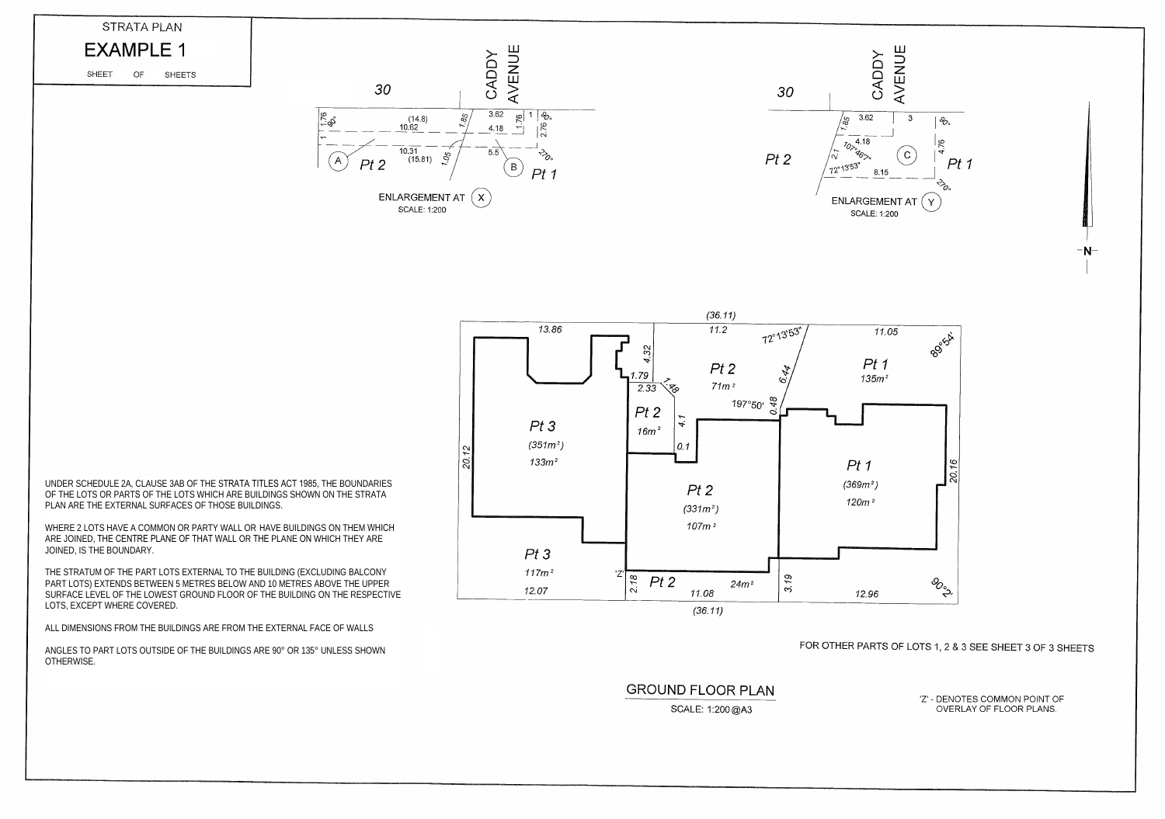WHERE 2 LOTS HAVE A COMMON OR PARTY WALL OR HAVE BUILDINGS ON THEM WHICH ARE JOINED, THE CENTRE PLANE OF THAT WALL OR THE PLANE ON WHICH THEY ARE JOINED, IS THE BOUNDARY.

THE STRATUM OF THE PART LOTS EXTERNAL TO THE BUILDING (EXCLUDING BALCONY PART LOTS) EXTENDS BETWEEN 5 METRES BELOW AND 10 METRES ABOVE THE UPPER SURFACE LEVEL OF THE LOWEST GROUND FLOOR OF THE BUILDING ON THE RESPECTIVE LOTS, EXCEPT WHERE COVERED.

ALL DIMENSIONS FROM THE BUILDINGS ARE FROM THE EXTERNAL FACE OF WALLS

ANGLES TO PART LOTS OUTSIDE OF THE BUILDINGS ARE 90° OR 135° UNLESS SHOWN OTHERWISE.

**GROUND FLOOR PLAN** 

SCALE: 1:200 @A3



## FOR OTHER PARTS OF LOTS 1, 2 & 3 SEE SHEET 3 OF 3 SHEETS

'Z' - DENOTES COMMON POINT OF OVERLAY OF FLOOR PLANS.





UNDER SCHEDULE 2A, CLAUSE 3AB OF THE STRATA TITLES ACT 1985, THE BOUNDARIES OF THE LOTS OR PARTS OF THE LOTS WHICH ARE BUILDINGS SHOWN ON THE STRATA PLAN ARE THE EXTERNAL SURFACES OF THOSE BUILDINGS.